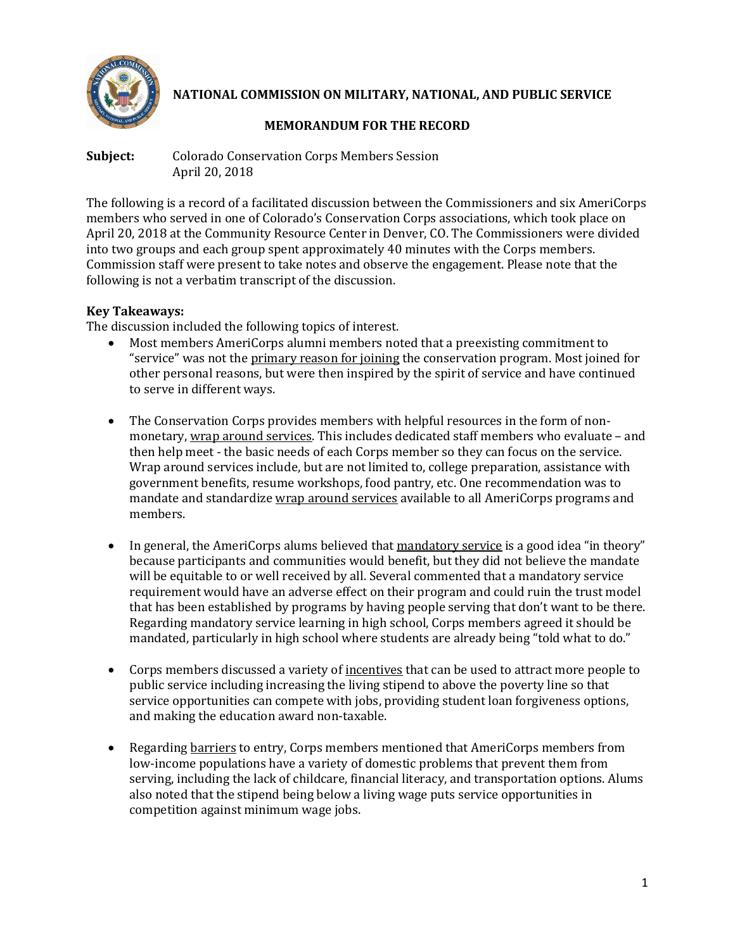

**NATIONAL COMMISSION ON MILITARY, NATIONAL, AND PUBLIC SERVICE**

# **MEMORANDUM FOR THE RECORD**

**Subject:** Colorado Conservation Corps Members Session April 20, 2018

The following is a record of a facilitated discussion between the Commissioners and six AmeriCorps members who served in one of Colorado's Conservation Corps associations, which took place on April 20, 2018 at the Community Resource Center in Denver, CO. The Commissioners were divided into two groups and each group spent approximately 40 minutes with the Corps members. Commission staff were present to take notes and observe the engagement. Please note that the following is not a verbatim transcript of the discussion.

## **Key Takeaways:**

The discussion included the following topics of interest.

- Most members AmeriCorps alumni members noted that a preexisting commitment to "service" was not the primary reason for joining the conservation program. Most joined for other personal reasons, but were then inspired by the spirit of service and have continued to serve in different ways.
- The Conservation Corps provides members with helpful resources in the form of nonmonetary, wrap around services. This includes dedicated staff members who evaluate – and then help meet - the basic needs of each Corps member so they can focus on the service. Wrap around services include, but are not limited to, college preparation, assistance with government benefits, resume workshops, food pantry, etc. One recommendation was to mandate and standardize wrap around services available to all AmeriCorps programs and members.
- In general, the AmeriCorps alums believed that mandatory service is a good idea "in theory" because participants and communities would benefit, but they did not believe the mandate will be equitable to or well received by all. Several commented that a mandatory service requirement would have an adverse effect on their program and could ruin the trust model that has been established by programs by having people serving that don't want to be there. Regarding mandatory service learning in high school, Corps members agreed it should be mandated, particularly in high school where students are already being "told what to do."
- Corps members discussed a variety of <u>incentives</u> that can be used to attract more people to public service including increasing the living stipend to above the poverty line so that service opportunities can compete with jobs, providing student loan forgiveness options, and making the education award non-taxable.
- Regarding barriers to entry, Corps members mentioned that AmeriCorps members from low-income populations have a variety of domestic problems that prevent them from serving, including the lack of childcare, financial literacy, and transportation options. Alums also noted that the stipend being below a living wage puts service opportunities in competition against minimum wage jobs.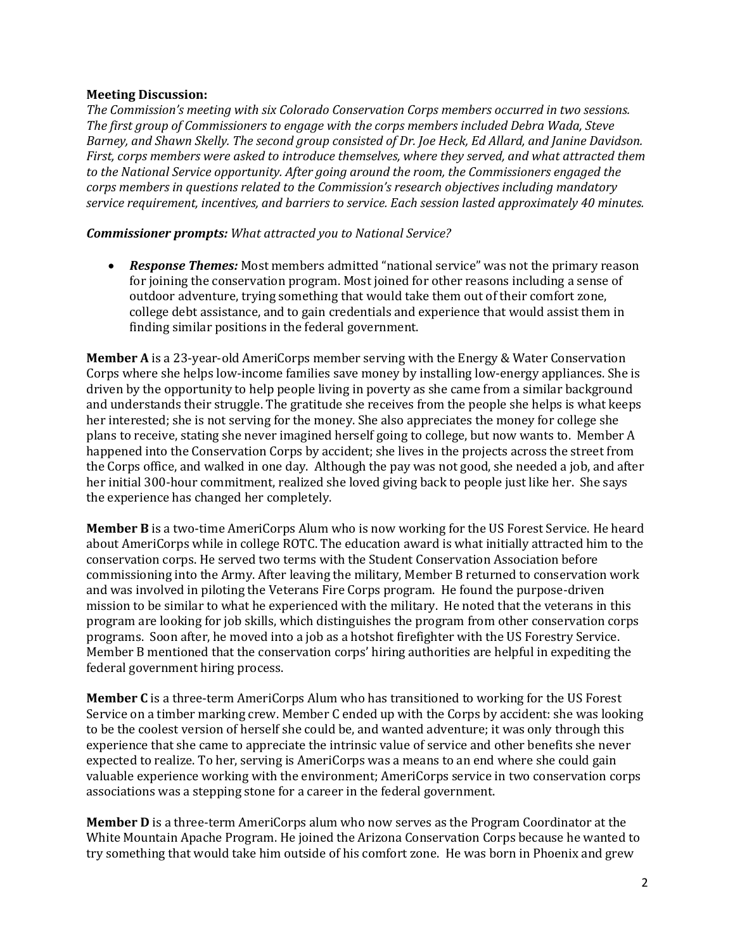#### **Meeting Discussion:**

*The Commission's meeting with six Colorado Conservation Corps members occurred in two sessions. The first group of Commissioners to engage with the corps members included Debra Wada, Steve Barney, and Shawn Skelly. The second group consisted of Dr. Joe Heck, Ed Allard, and Janine Davidson. First, corps members were asked to introduce themselves, where they served, and what attracted them to the National Service opportunity. After going around the room, the Commissioners engaged the corps members in questions related to the Commission's research objectives including mandatory service requirement, incentives, and barriers to service. Each session lasted approximately 40 minutes.* 

#### *Commissioner prompts: What attracted you to National Service?*

• *Response Themes:* Most members admitted "national service" was not the primary reason for joining the conservation program. Most joined for other reasons including a sense of outdoor adventure, trying something that would take them out of their comfort zone, college debt assistance, and to gain credentials and experience that would assist them in finding similar positions in the federal government.

**Member A** is a 23-year-old AmeriCorps member serving with the Energy & Water Conservation Corps where she helps low-income families save money by installing low-energy appliances. She is driven by the opportunity to help people living in poverty as she came from a similar background and understands their struggle. The gratitude she receives from the people she helps is what keeps her interested; she is not serving for the money. She also appreciates the money for college she plans to receive, stating she never imagined herself going to college, but now wants to. Member A happened into the Conservation Corps by accident; she lives in the projects across the street from the Corps office, and walked in one day. Although the pay was not good, she needed a job, and after her initial 300-hour commitment, realized she loved giving back to people just like her. She says the experience has changed her completely.

**Member B** is a two-time AmeriCorps Alum who is now working for the US Forest Service. He heard about AmeriCorps while in college ROTC. The education award is what initially attracted him to the conservation corps. He served two terms with the Student Conservation Association before commissioning into the Army. After leaving the military, Member B returned to conservation work and was involved in piloting the Veterans Fire Corps program. He found the purpose-driven mission to be similar to what he experienced with the military. He noted that the veterans in this program are looking for job skills, which distinguishes the program from other conservation corps programs. Soon after, he moved into a job as a hotshot firefighter with the US Forestry Service. Member B mentioned that the conservation corps' hiring authorities are helpful in expediting the federal government hiring process.

**Member C** is a three-term AmeriCorps Alum who has transitioned to working for the US Forest Service on a timber marking crew. Member C ended up with the Corps by accident: she was looking to be the coolest version of herself she could be, and wanted adventure; it was only through this experience that she came to appreciate the intrinsic value of service and other benefits she never expected to realize. To her, serving is AmeriCorps was a means to an end where she could gain valuable experience working with the environment; AmeriCorps service in two conservation corps associations was a stepping stone for a career in the federal government.

**Member D** is a three-term AmeriCorps alum who now serves as the Program Coordinator at the White Mountain Apache Program. He joined the Arizona Conservation Corps because he wanted to try something that would take him outside of his comfort zone. He was born in Phoenix and grew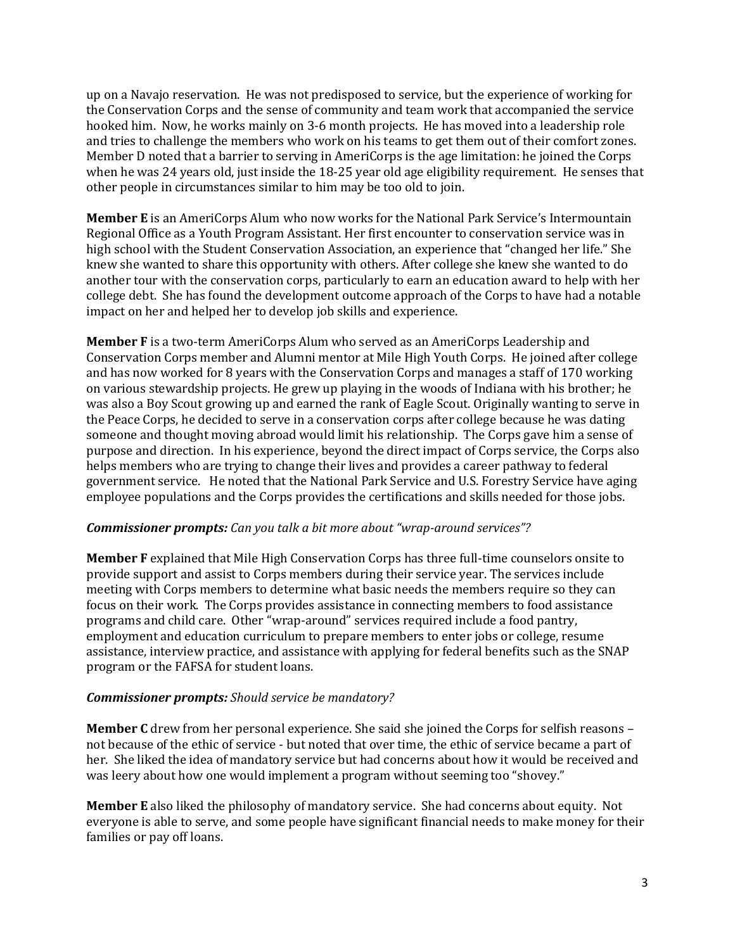up on a Navajo reservation. He was not predisposed to service, but the experience of working for the Conservation Corps and the sense of community and team work that accompanied the service hooked him. Now, he works mainly on 3-6 month projects. He has moved into a leadership role and tries to challenge the members who work on his teams to get them out of their comfort zones. Member D noted that a barrier to serving in AmeriCorps is the age limitation: he joined the Corps when he was 24 years old, just inside the 18-25 year old age eligibility requirement. He senses that other people in circumstances similar to him may be too old to join.

**Member E** is an AmeriCorps Alum who now works for the National Park Service's Intermountain Regional Office as a Youth Program Assistant. Her first encounter to conservation service was in high school with the Student Conservation Association, an experience that "changed her life." She knew she wanted to share this opportunity with others. After college she knew she wanted to do another tour with the conservation corps, particularly to earn an education award to help with her college debt. She has found the development outcome approach of the Corps to have had a notable impact on her and helped her to develop job skills and experience.

**Member F** is a two-term AmeriCorps Alum who served as an AmeriCorps Leadership and Conservation Corps member and Alumni mentor at Mile High Youth Corps. He joined after college and has now worked for 8 years with the Conservation Corps and manages a staff of 170 working on various stewardship projects. He grew up playing in the woods of Indiana with his brother; he was also a Boy Scout growing up and earned the rank of Eagle Scout. Originally wanting to serve in the Peace Corps, he decided to serve in a conservation corps after college because he was dating someone and thought moving abroad would limit his relationship. The Corps gave him a sense of purpose and direction. In his experience, beyond the direct impact of Corps service, the Corps also helps members who are trying to change their lives and provides a career pathway to federal government service. He noted that the National Park Service and U.S. Forestry Service have aging employee populations and the Corps provides the certifications and skills needed for those jobs.

#### *Commissioner prompts: Can you talk a bit more about "wrap-around services"?*

**Member F** explained that Mile High Conservation Corps has three full-time counselors onsite to provide support and assist to Corps members during their service year. The services include meeting with Corps members to determine what basic needs the members require so they can focus on their work. The Corps provides assistance in connecting members to food assistance programs and child care. Other "wrap-around" services required include a food pantry, employment and education curriculum to prepare members to enter jobs or college, resume assistance, interview practice, and assistance with applying for federal benefits such as the SNAP program or the FAFSA for student loans.

### *Commissioner prompts: Should service be mandatory?*

**Member C** drew from her personal experience. She said she joined the Corps for selfish reasons – not because of the ethic of service - but noted that over time, the ethic of service became a part of her. She liked the idea of mandatory service but had concerns about how it would be received and was leery about how one would implement a program without seeming too "shovey."

**Member E** also liked the philosophy of mandatory service. She had concerns about equity. Not everyone is able to serve, and some people have significant financial needs to make money for their families or pay off loans.